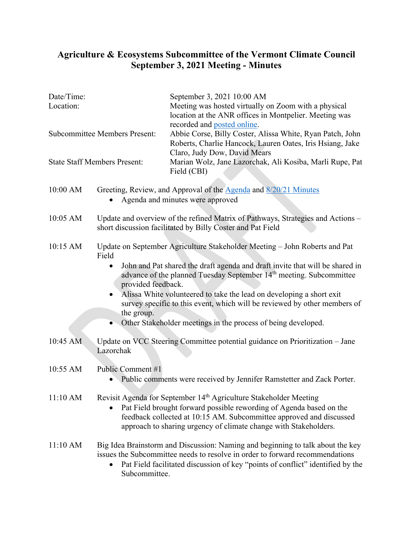## **Agriculture & Ecosystems Subcommittee of the Vermont Climate Council September 3, 2021 Meeting - Minutes**

........................

| Date/Time:<br>Location:              |                                                                                                                                                                                                                                                                                                                                                                                                                                                                                                                               | September 3, 2021 10:00 AM<br>Meeting was hosted virtually on Zoom with a physical<br>location at the ANR offices in Montpelier. Meeting was                                          |
|--------------------------------------|-------------------------------------------------------------------------------------------------------------------------------------------------------------------------------------------------------------------------------------------------------------------------------------------------------------------------------------------------------------------------------------------------------------------------------------------------------------------------------------------------------------------------------|---------------------------------------------------------------------------------------------------------------------------------------------------------------------------------------|
| <b>Subcommittee Members Present:</b> |                                                                                                                                                                                                                                                                                                                                                                                                                                                                                                                               | recorded and posted online.<br>Abbie Corse, Billy Coster, Alissa White, Ryan Patch, John<br>Roberts, Charlie Hancock, Lauren Oates, Iris Hsiang, Jake<br>Claro, Judy Dow, David Mears |
| <b>State Staff Members Present:</b>  |                                                                                                                                                                                                                                                                                                                                                                                                                                                                                                                               | Marian Wolz, Jane Lazorchak, Ali Kosiba, Marli Rupe, Pat<br>Field (CBI)                                                                                                               |
| 10:00 AM                             | Greeting, Review, and Approval of the <b>Agenda</b> and 8/20/21 Minutes<br>Agenda and minutes were approved                                                                                                                                                                                                                                                                                                                                                                                                                   |                                                                                                                                                                                       |
| 10:05 AM                             | Update and overview of the refined Matrix of Pathways, Strategies and Actions –<br>short discussion facilitated by Billy Coster and Pat Field                                                                                                                                                                                                                                                                                                                                                                                 |                                                                                                                                                                                       |
| 10:15 AM                             | Update on September Agriculture Stakeholder Meeting - John Roberts and Pat<br>Field<br>John and Pat shared the draft agenda and draft invite that will be shared in<br>$\bullet$<br>advance of the planned Tuesday September 14 <sup>th</sup> meeting. Subcommittee<br>provided feedback.<br>Alissa White volunteered to take the lead on developing a short exit<br>survey specific to this event, which will be reviewed by other members of<br>the group.<br>Other Stakeholder meetings in the process of being developed. |                                                                                                                                                                                       |
| 10:45 AM                             | Update on VCC Steering Committee potential guidance on Prioritization - Jane<br>Lazorchak                                                                                                                                                                                                                                                                                                                                                                                                                                     |                                                                                                                                                                                       |
| 10:55 AM                             | Public Comment #1<br>Public comments were received by Jennifer Ramstetter and Zack Porter.                                                                                                                                                                                                                                                                                                                                                                                                                                    |                                                                                                                                                                                       |
| 11:10 AM                             | Revisit Agenda for September 14 <sup>th</sup> Agriculture Stakeholder Meeting<br>Pat Field brought forward possible rewording of Agenda based on the<br>feedback collected at 10:15 AM. Subcommittee approved and discussed<br>approach to sharing urgency of climate change with Stakeholders.                                                                                                                                                                                                                               |                                                                                                                                                                                       |
| 11:10 AM                             | Big Idea Brainstorm and Discussion: Naming and beginning to talk about the key<br>issues the Subcommittee needs to resolve in order to forward recommendations<br>Pat Field facilitated discussion of key "points of conflict" identified by the<br>Subcommittee.                                                                                                                                                                                                                                                             |                                                                                                                                                                                       |